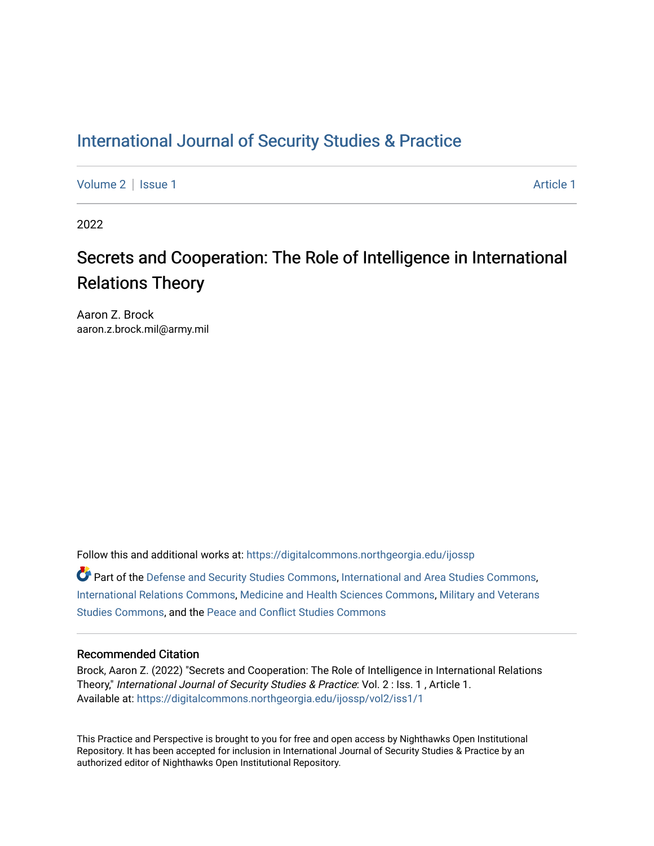## [International Journal of Security Studies & Practice](https://digitalcommons.northgeorgia.edu/ijossp)

[Volume 2](https://digitalcommons.northgeorgia.edu/ijossp/vol2) | [Issue 1](https://digitalcommons.northgeorgia.edu/ijossp/vol2/iss1) Article 1

2022

# Secrets and Cooperation: The Role of Intelligence in International Relations Theory

Aaron Z. Brock aaron.z.brock.mil@army.mil

Follow this and additional works at: [https://digitalcommons.northgeorgia.edu/ijossp](https://digitalcommons.northgeorgia.edu/ijossp?utm_source=digitalcommons.northgeorgia.edu%2Fijossp%2Fvol2%2Fiss1%2F1&utm_medium=PDF&utm_campaign=PDFCoverPages)  Part of the [Defense and Security Studies Commons](http://network.bepress.com/hgg/discipline/394?utm_source=digitalcommons.northgeorgia.edu%2Fijossp%2Fvol2%2Fiss1%2F1&utm_medium=PDF&utm_campaign=PDFCoverPages), [International and Area Studies Commons](http://network.bepress.com/hgg/discipline/360?utm_source=digitalcommons.northgeorgia.edu%2Fijossp%2Fvol2%2Fiss1%2F1&utm_medium=PDF&utm_campaign=PDFCoverPages), [International Relations Commons](http://network.bepress.com/hgg/discipline/389?utm_source=digitalcommons.northgeorgia.edu%2Fijossp%2Fvol2%2Fiss1%2F1&utm_medium=PDF&utm_campaign=PDFCoverPages), [Medicine and Health Sciences Commons](http://network.bepress.com/hgg/discipline/648?utm_source=digitalcommons.northgeorgia.edu%2Fijossp%2Fvol2%2Fiss1%2F1&utm_medium=PDF&utm_campaign=PDFCoverPages), [Military and Veterans](http://network.bepress.com/hgg/discipline/396?utm_source=digitalcommons.northgeorgia.edu%2Fijossp%2Fvol2%2Fiss1%2F1&utm_medium=PDF&utm_campaign=PDFCoverPages)

[Studies Commons,](http://network.bepress.com/hgg/discipline/396?utm_source=digitalcommons.northgeorgia.edu%2Fijossp%2Fvol2%2Fiss1%2F1&utm_medium=PDF&utm_campaign=PDFCoverPages) and the [Peace and Conflict Studies Commons](http://network.bepress.com/hgg/discipline/397?utm_source=digitalcommons.northgeorgia.edu%2Fijossp%2Fvol2%2Fiss1%2F1&utm_medium=PDF&utm_campaign=PDFCoverPages) 

## Recommended Citation

Brock, Aaron Z. (2022) "Secrets and Cooperation: The Role of Intelligence in International Relations Theory," International Journal of Security Studies & Practice: Vol. 2 : Iss. 1 , Article 1. Available at: [https://digitalcommons.northgeorgia.edu/ijossp/vol2/iss1/1](https://digitalcommons.northgeorgia.edu/ijossp/vol2/iss1/1?utm_source=digitalcommons.northgeorgia.edu%2Fijossp%2Fvol2%2Fiss1%2F1&utm_medium=PDF&utm_campaign=PDFCoverPages) 

This Practice and Perspective is brought to you for free and open access by Nighthawks Open Institutional Repository. It has been accepted for inclusion in International Journal of Security Studies & Practice by an authorized editor of Nighthawks Open Institutional Repository.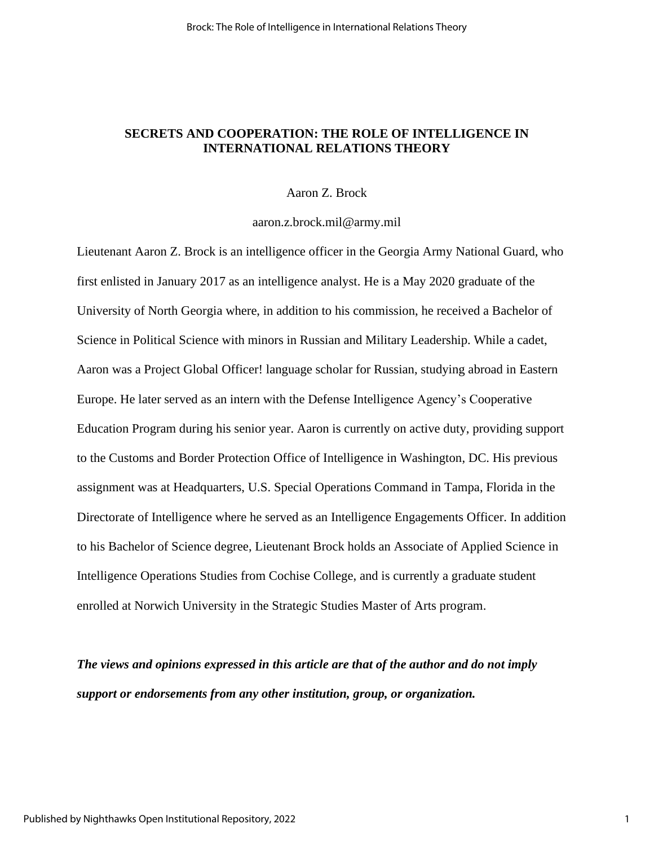## **SECRETS AND COOPERATION: THE ROLE OF INTELLIGENCE IN INTERNATIONAL RELATIONS THEORY**

## Aaron Z. Brock

## [aaron.z.brock.mil@army.mil](mailto:aaron.z.brock.mil@army.mil)

Lieutenant Aaron Z. Brock is an intelligence officer in the Georgia Army National Guard, who first enlisted in January 2017 as an intelligence analyst. He is a May 2020 graduate of the University of North Georgia where, in addition to his commission, he received a Bachelor of Science in Political Science with minors in Russian and Military Leadership. While a cadet, Aaron was a Project Global Officer! language scholar for Russian, studying abroad in Eastern Europe. He later served as an intern with the Defense Intelligence Agency's Cooperative Education Program during his senior year. Aaron is currently on active duty, providing support to the Customs and Border Protection Office of Intelligence in Washington, DC. His previous assignment was at Headquarters, U.S. Special Operations Command in Tampa, Florida in the Directorate of Intelligence where he served as an Intelligence Engagements Officer. In addition to his Bachelor of Science degree, Lieutenant Brock holds an Associate of Applied Science in Intelligence Operations Studies from Cochise College, and is currently a graduate student enrolled at Norwich University in the Strategic Studies Master of Arts program.

*The views and opinions expressed in this article are that of the author and do not imply support or endorsements from any other institution, group, or organization.*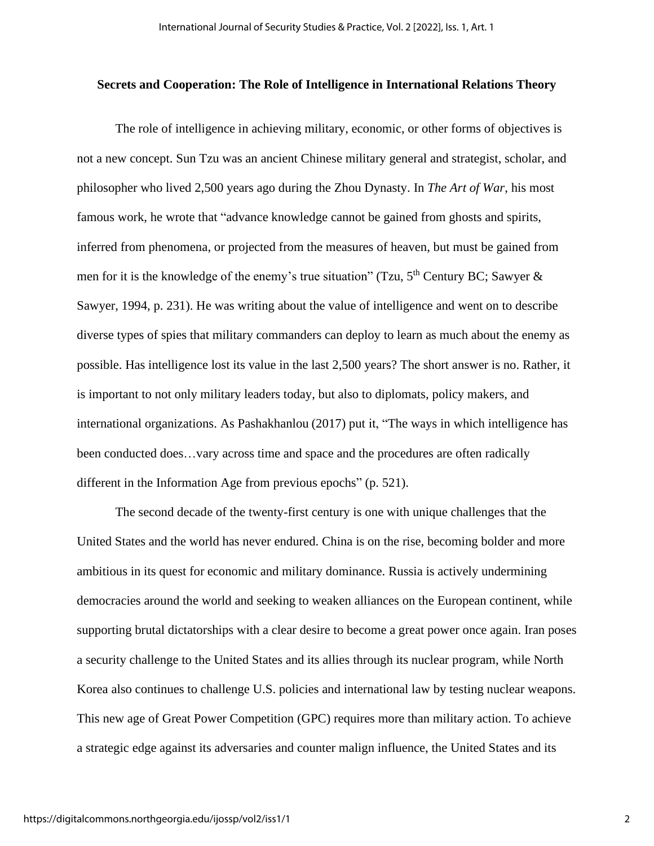## **Secrets and Cooperation: The Role of Intelligence in International Relations Theory**

The role of intelligence in achieving military, economic, or other forms of objectives is not a new concept. Sun Tzu was an ancient Chinese military general and strategist, scholar, and philosopher who lived 2,500 years ago during the Zhou Dynasty. In *The Art of War*, his most famous work, he wrote that "advance knowledge cannot be gained from ghosts and spirits, inferred from phenomena, or projected from the measures of heaven, but must be gained from men for it is the knowledge of the enemy's true situation" (Tzu,  $5<sup>th</sup>$  Century BC; Sawyer & Sawyer, 1994, p. 231). He was writing about the value of intelligence and went on to describe diverse types of spies that military commanders can deploy to learn as much about the enemy as possible. Has intelligence lost its value in the last 2,500 years? The short answer is no. Rather, it is important to not only military leaders today, but also to diplomats, policy makers, and international organizations. As Pashakhanlou (2017) put it, "The ways in which intelligence has been conducted does…vary across time and space and the procedures are often radically different in the Information Age from previous epochs" (p. 521).

The second decade of the twenty-first century is one with unique challenges that the United States and the world has never endured. China is on the rise, becoming bolder and more ambitious in its quest for economic and military dominance. Russia is actively undermining democracies around the world and seeking to weaken alliances on the European continent, while supporting brutal dictatorships with a clear desire to become a great power once again. Iran poses a security challenge to the United States and its allies through its nuclear program, while North Korea also continues to challenge U.S. policies and international law by testing nuclear weapons. This new age of Great Power Competition (GPC) requires more than military action. To achieve a strategic edge against its adversaries and counter malign influence, the United States and its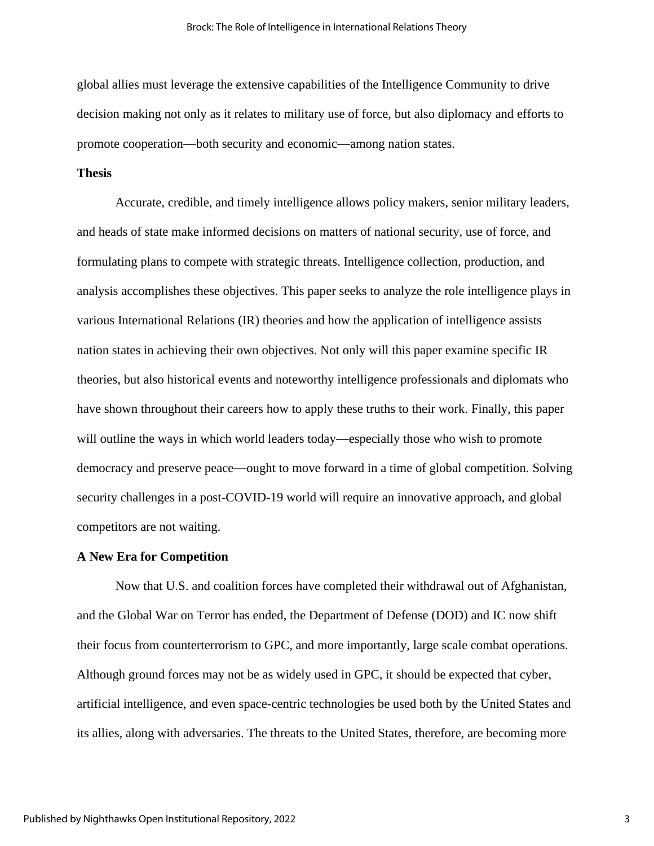global allies must leverage the extensive capabilities of the Intelligence Community to drive decision making not only as it relates to military use of force, but also diplomacy and efforts to promote cooperation—both security and economic—among nation states.

## **Thesis**

Accurate, credible, and timely intelligence allows policy makers, senior military leaders, and heads of state make informed decisions on matters of national security, use of force, and formulating plans to compete with strategic threats. Intelligence collection, production, and analysis accomplishes these objectives. This paper seeks to analyze the role intelligence plays in various International Relations (IR) theories and how the application of intelligence assists nation states in achieving their own objectives. Not only will this paper examine specific IR theories, but also historical events and noteworthy intelligence professionals and diplomats who have shown throughout their careers how to apply these truths to their work. Finally, this paper will outline the ways in which world leaders today—especially those who wish to promote democracy and preserve peace—ought to move forward in a time of global competition. Solving security challenges in a post-COVID-19 world will require an innovative approach, and global competitors are not waiting.

#### **A New Era for Competition**

Now that U.S. and coalition forces have completed their withdrawal out of Afghanistan, and the Global War on Terror has ended, the Department of Defense (DOD) and IC now shift their focus from counterterrorism to GPC, and more importantly, large scale combat operations. Although ground forces may not be as widely used in GPC, it should be expected that cyber, artificial intelligence, and even space-centric technologies be used both by the United States and its allies, along with adversaries. The threats to the United States, therefore, are becoming more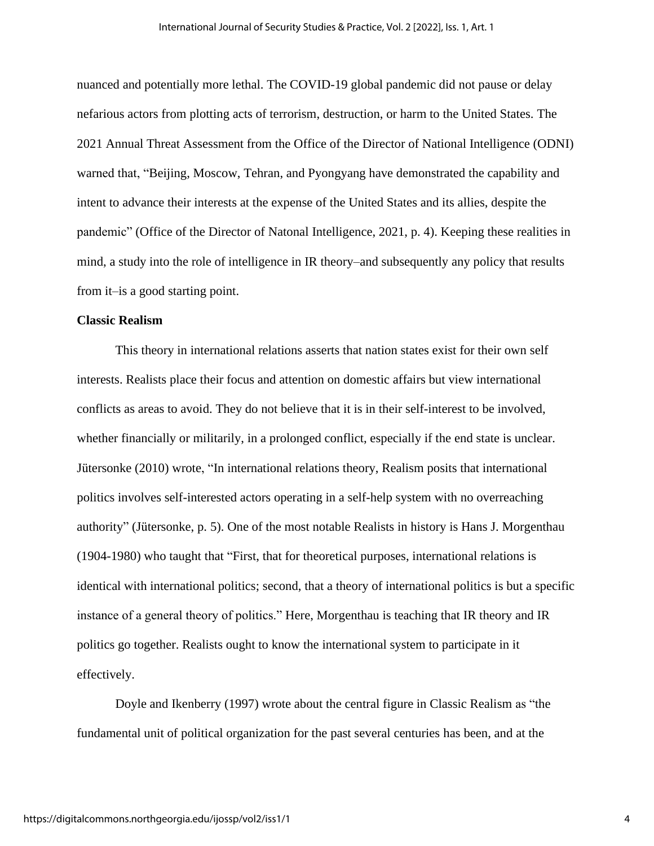nuanced and potentially more lethal. The COVID-19 global pandemic did not pause or delay nefarious actors from plotting acts of terrorism, destruction, or harm to the United States. The 2021 Annual Threat Assessment from the Office of the Director of National Intelligence (ODNI) warned that, "Beijing, Moscow, Tehran, and Pyongyang have demonstrated the capability and intent to advance their interests at the expense of the United States and its allies, despite the pandemic" (Office of the Director of Natonal Intelligence, 2021, p. 4). Keeping these realities in mind, a study into the role of intelligence in IR theory–and subsequently any policy that results from it–is a good starting point.

## **Classic Realism**

This theory in international relations asserts that nation states exist for their own self interests. Realists place their focus and attention on domestic affairs but view international conflicts as areas to avoid. They do not believe that it is in their self-interest to be involved, whether financially or militarily, in a prolonged conflict, especially if the end state is unclear. Jütersonke (2010) wrote, "In international relations theory, Realism posits that international politics involves self-interested actors operating in a self-help system with no overreaching authority" (Jütersonke, p. 5). One of the most notable Realists in history is Hans J. Morgenthau (1904-1980) who taught that "First, that for theoretical purposes, international relations is identical with international politics; second, that a theory of international politics is but a specific instance of a general theory of politics." Here, Morgenthau is teaching that IR theory and IR politics go together. Realists ought to know the international system to participate in it effectively.

Doyle and Ikenberry (1997) wrote about the central figure in Classic Realism as "the fundamental unit of political organization for the past several centuries has been, and at the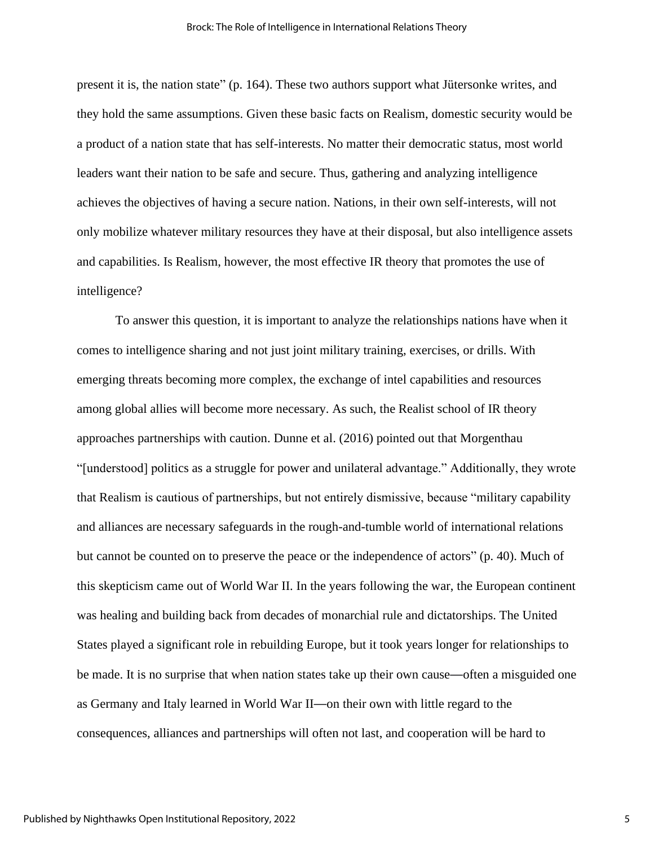present it is, the nation state" (p. 164). These two authors support what Jütersonke writes, and they hold the same assumptions. Given these basic facts on Realism, domestic security would be a product of a nation state that has self-interests. No matter their democratic status, most world leaders want their nation to be safe and secure. Thus, gathering and analyzing intelligence achieves the objectives of having a secure nation. Nations, in their own self-interests, will not only mobilize whatever military resources they have at their disposal, but also intelligence assets and capabilities. Is Realism, however, the most effective IR theory that promotes the use of intelligence?

To answer this question, it is important to analyze the relationships nations have when it comes to intelligence sharing and not just joint military training, exercises, or drills. With emerging threats becoming more complex, the exchange of intel capabilities and resources among global allies will become more necessary. As such, the Realist school of IR theory approaches partnerships with caution. Dunne et al. (2016) pointed out that Morgenthau "[understood] politics as a struggle for power and unilateral advantage." Additionally, they wrote that Realism is cautious of partnerships, but not entirely dismissive, because "military capability and alliances are necessary safeguards in the rough-and-tumble world of international relations but cannot be counted on to preserve the peace or the independence of actors" (p. 40). Much of this skepticism came out of World War II. In the years following the war, the European continent was healing and building back from decades of monarchial rule and dictatorships. The United States played a significant role in rebuilding Europe, but it took years longer for relationships to be made. It is no surprise that when nation states take up their own cause—often a misguided one as Germany and Italy learned in World War II—on their own with little regard to the consequences, alliances and partnerships will often not last, and cooperation will be hard to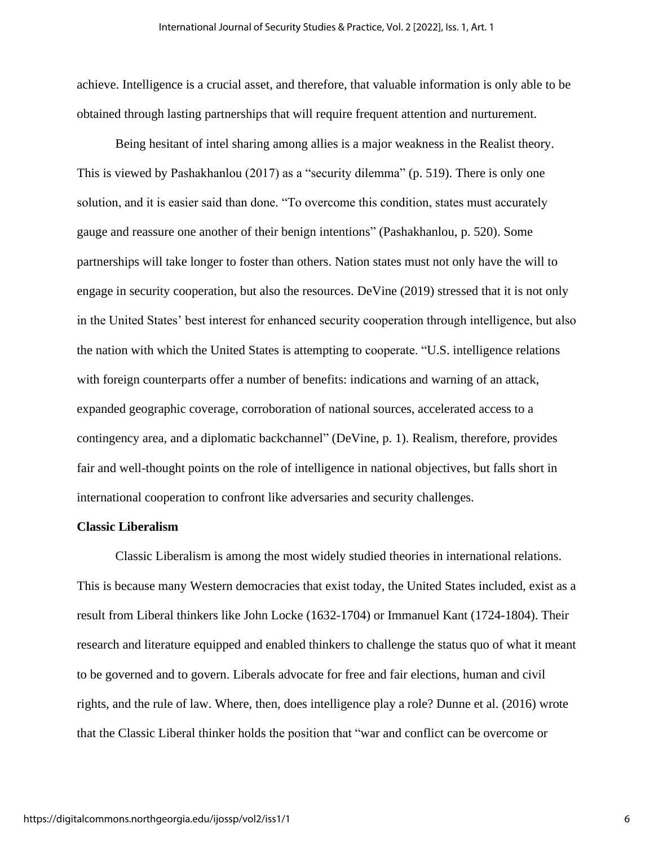achieve. Intelligence is a crucial asset, and therefore, that valuable information is only able to be obtained through lasting partnerships that will require frequent attention and nurturement.

Being hesitant of intel sharing among allies is a major weakness in the Realist theory. This is viewed by Pashakhanlou (2017) as a "security dilemma" (p. 519). There is only one solution, and it is easier said than done. "To overcome this condition, states must accurately gauge and reassure one another of their benign intentions" (Pashakhanlou, p. 520). Some partnerships will take longer to foster than others. Nation states must not only have the will to engage in security cooperation, but also the resources. DeVine (2019) stressed that it is not only in the United States' best interest for enhanced security cooperation through intelligence, but also the nation with which the United States is attempting to cooperate. "U.S. intelligence relations with foreign counterparts offer a number of benefits: indications and warning of an attack, expanded geographic coverage, corroboration of national sources, accelerated access to a contingency area, and a diplomatic backchannel" (DeVine, p. 1). Realism, therefore, provides fair and well-thought points on the role of intelligence in national objectives, but falls short in international cooperation to confront like adversaries and security challenges.

## **Classic Liberalism**

Classic Liberalism is among the most widely studied theories in international relations. This is because many Western democracies that exist today, the United States included, exist as a result from Liberal thinkers like John Locke (1632-1704) or Immanuel Kant (1724-1804). Their research and literature equipped and enabled thinkers to challenge the status quo of what it meant to be governed and to govern. Liberals advocate for free and fair elections, human and civil rights, and the rule of law. Where, then, does intelligence play a role? Dunne et al. (2016) wrote that the Classic Liberal thinker holds the position that "war and conflict can be overcome or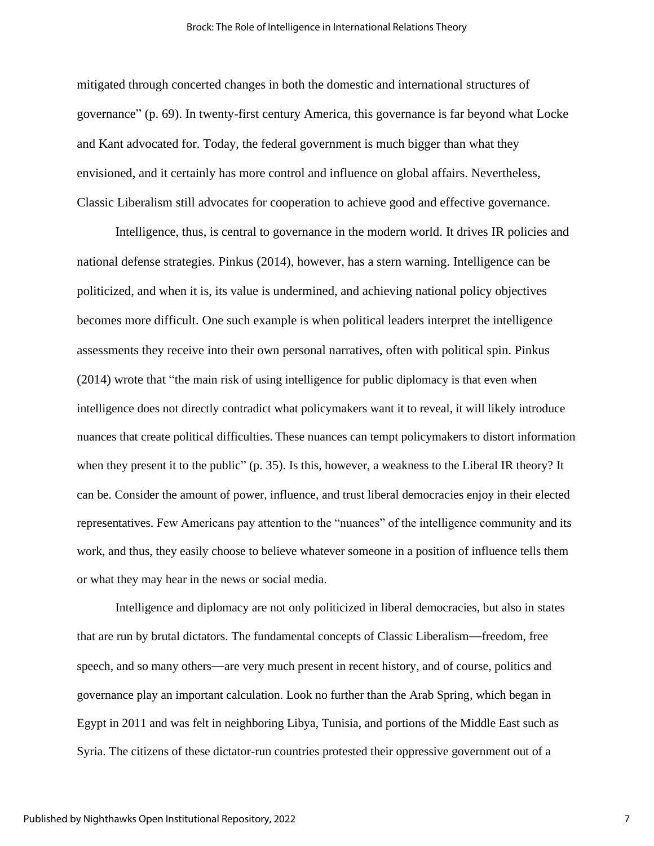mitigated through concerted changes in both the domestic and international structures of governance" (p. 69). In twenty-first century America, this governance is far beyond what Locke and Kant advocated for. Today, the federal government is much bigger than what they envisioned, and it certainly has more control and influence on global affairs. Nevertheless, Classic Liberalism still advocates for cooperation to achieve good and effective governance.

Intelligence, thus, is central to governance in the modern world. It drives IR policies and national defense strategies. Pinkus (2014), however, has a stern warning. Intelligence can be politicized, and when it is, its value is undermined, and achieving national policy objectives becomes more difficult. One such example is when political leaders interpret the intelligence assessments they receive into their own personal narratives, often with political spin. Pinkus (2014) wrote that "the main risk of using intelligence for public diplomacy is that even when intelligence does not directly contradict what policymakers want it to reveal, it will likely introduce nuances that create political difficulties. These nuances can tempt policymakers to distort information when they present it to the public" (p. 35). Is this, however, a weakness to the Liberal IR theory? It can be. Consider the amount of power, influence, and trust liberal democracies enjoy in their elected representatives. Few Americans pay attention to the "nuances" of the intelligence community and its work, and thus, they easily choose to believe whatever someone in a position of influence tells them or what they may hear in the news or social media.

Intelligence and diplomacy are not only politicized in liberal democracies, but also in states that are run by brutal dictators. The fundamental concepts of Classic Liberalism—freedom, free speech, and so many others—are very much present in recent history, and of course, politics and governance play an important calculation. Look no further than the Arab Spring, which began in Egypt in 2011 and was felt in neighboring Libya, Tunisia, and portions of the Middle East such as Syria. The citizens of these dictator-run countries protested their oppressive government out of a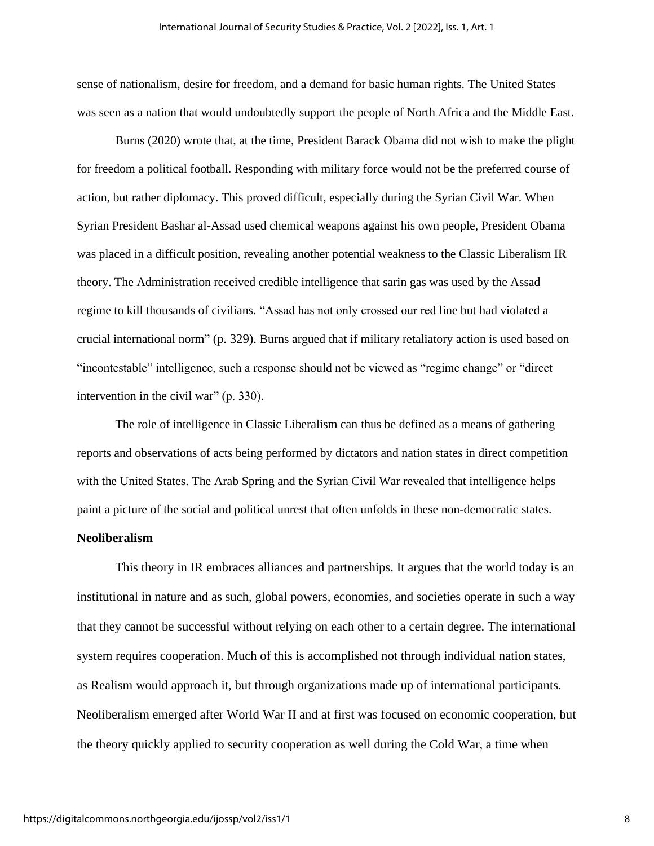sense of nationalism, desire for freedom, and a demand for basic human rights. The United States was seen as a nation that would undoubtedly support the people of North Africa and the Middle East.

Burns (2020) wrote that, at the time, President Barack Obama did not wish to make the plight for freedom a political football. Responding with military force would not be the preferred course of action, but rather diplomacy. This proved difficult, especially during the Syrian Civil War. When Syrian President Bashar al-Assad used chemical weapons against his own people, President Obama was placed in a difficult position, revealing another potential weakness to the Classic Liberalism IR theory. The Administration received credible intelligence that sarin gas was used by the Assad regime to kill thousands of civilians. "Assad has not only crossed our red line but had violated a crucial international norm" (p. 329). Burns argued that if military retaliatory action is used based on "incontestable" intelligence, such a response should not be viewed as "regime change" or "direct intervention in the civil war" (p. 330).

The role of intelligence in Classic Liberalism can thus be defined as a means of gathering reports and observations of acts being performed by dictators and nation states in direct competition with the United States. The Arab Spring and the Syrian Civil War revealed that intelligence helps paint a picture of the social and political unrest that often unfolds in these non-democratic states.

## **Neoliberalism**

This theory in IR embraces alliances and partnerships. It argues that the world today is an institutional in nature and as such, global powers, economies, and societies operate in such a way that they cannot be successful without relying on each other to a certain degree. The international system requires cooperation. Much of this is accomplished not through individual nation states, as Realism would approach it, but through organizations made up of international participants. Neoliberalism emerged after World War II and at first was focused on economic cooperation, but the theory quickly applied to security cooperation as well during the Cold War, a time when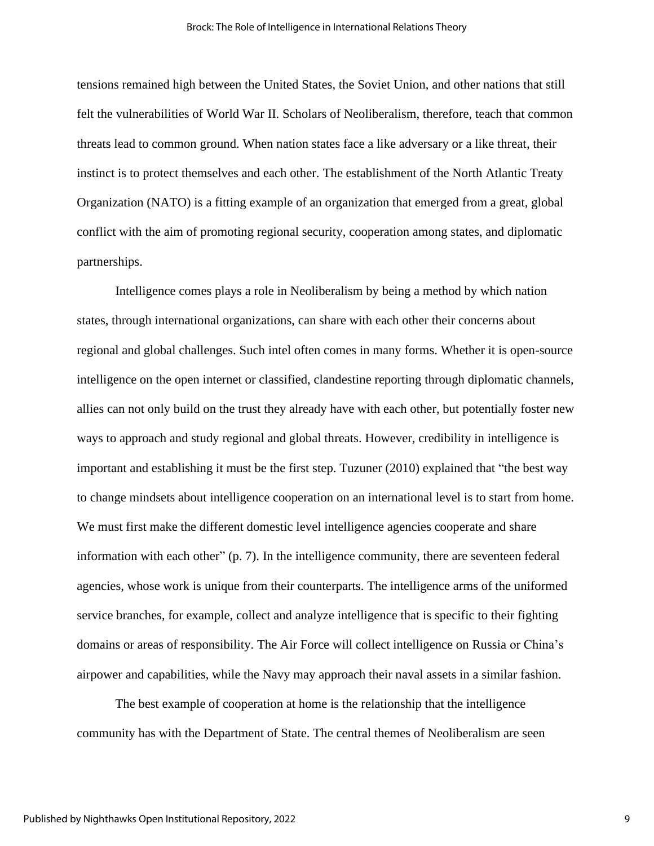tensions remained high between the United States, the Soviet Union, and other nations that still felt the vulnerabilities of World War II. Scholars of Neoliberalism, therefore, teach that common threats lead to common ground. When nation states face a like adversary or a like threat, their instinct is to protect themselves and each other. The establishment of the North Atlantic Treaty Organization (NATO) is a fitting example of an organization that emerged from a great, global conflict with the aim of promoting regional security, cooperation among states, and diplomatic partnerships.

Intelligence comes plays a role in Neoliberalism by being a method by which nation states, through international organizations, can share with each other their concerns about regional and global challenges. Such intel often comes in many forms. Whether it is open-source intelligence on the open internet or classified, clandestine reporting through diplomatic channels, allies can not only build on the trust they already have with each other, but potentially foster new ways to approach and study regional and global threats. However, credibility in intelligence is important and establishing it must be the first step. Tuzuner (2010) explained that "the best way to change mindsets about intelligence cooperation on an international level is to start from home. We must first make the different domestic level intelligence agencies cooperate and share information with each other" (p. 7). In the intelligence community, there are seventeen federal agencies, whose work is unique from their counterparts. The intelligence arms of the uniformed service branches, for example, collect and analyze intelligence that is specific to their fighting domains or areas of responsibility. The Air Force will collect intelligence on Russia or China's airpower and capabilities, while the Navy may approach their naval assets in a similar fashion.

The best example of cooperation at home is the relationship that the intelligence community has with the Department of State. The central themes of Neoliberalism are seen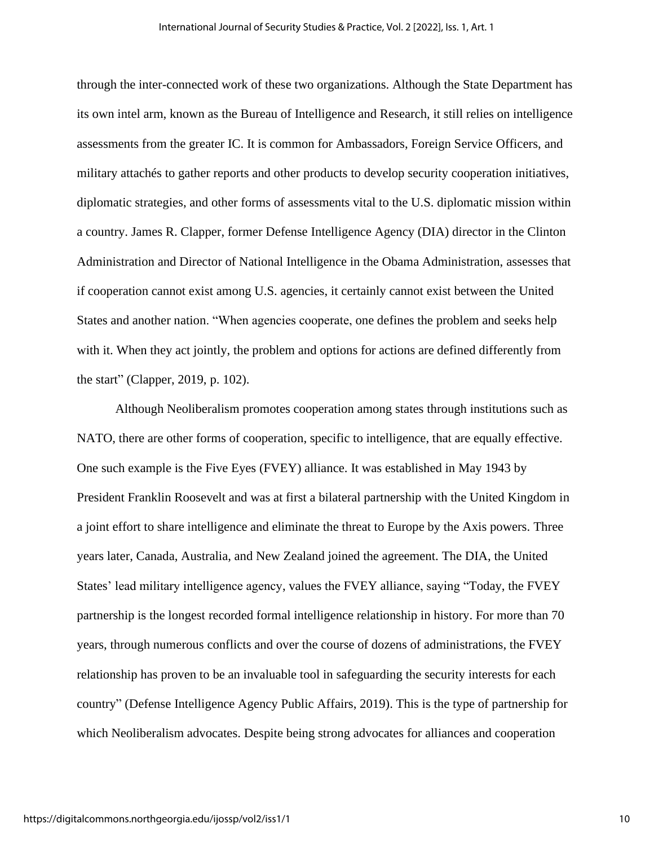through the inter-connected work of these two organizations. Although the State Department has its own intel arm, known as the Bureau of Intelligence and Research, it still relies on intelligence assessments from the greater IC. It is common for Ambassadors, Foreign Service Officers, and military attachés to gather reports and other products to develop security cooperation initiatives, diplomatic strategies, and other forms of assessments vital to the U.S. diplomatic mission within a country. James R. Clapper, former Defense Intelligence Agency (DIA) director in the Clinton Administration and Director of National Intelligence in the Obama Administration, assesses that if cooperation cannot exist among U.S. agencies, it certainly cannot exist between the United States and another nation. "When agencies cooperate, one defines the problem and seeks help with it. When they act jointly, the problem and options for actions are defined differently from the start" (Clapper, 2019, p. 102).

Although Neoliberalism promotes cooperation among states through institutions such as NATO, there are other forms of cooperation, specific to intelligence, that are equally effective. One such example is the Five Eyes (FVEY) alliance. It was established in May 1943 by President Franklin Roosevelt and was at first a bilateral partnership with the United Kingdom in a joint effort to share intelligence and eliminate the threat to Europe by the Axis powers. Three years later, Canada, Australia, and New Zealand joined the agreement. The DIA, the United States' lead military intelligence agency, values the FVEY alliance, saying "Today, the FVEY partnership is the longest recorded formal intelligence relationship in history. For more than 70 years, through numerous conflicts and over the course of dozens of administrations, the FVEY relationship has proven to be an invaluable tool in safeguarding the security interests for each country" (Defense Intelligence Agency Public Affairs, 2019). This is the type of partnership for which Neoliberalism advocates. Despite being strong advocates for alliances and cooperation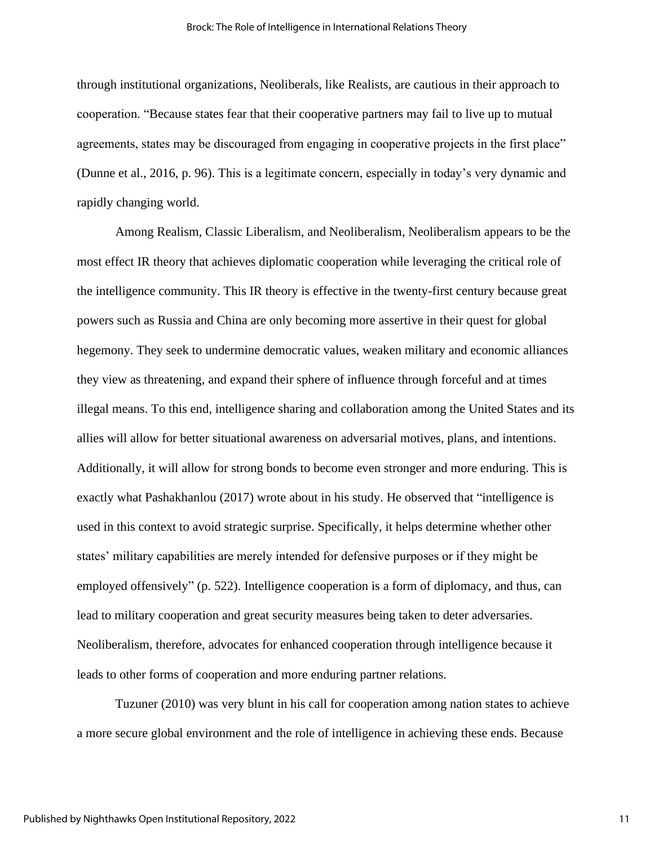through institutional organizations, Neoliberals, like Realists, are cautious in their approach to cooperation. "Because states fear that their cooperative partners may fail to live up to mutual agreements, states may be discouraged from engaging in cooperative projects in the first place" (Dunne et al., 2016, p. 96). This is a legitimate concern, especially in today's very dynamic and rapidly changing world.

Among Realism, Classic Liberalism, and Neoliberalism, Neoliberalism appears to be the most effect IR theory that achieves diplomatic cooperation while leveraging the critical role of the intelligence community. This IR theory is effective in the twenty-first century because great powers such as Russia and China are only becoming more assertive in their quest for global hegemony. They seek to undermine democratic values, weaken military and economic alliances they view as threatening, and expand their sphere of influence through forceful and at times illegal means. To this end, intelligence sharing and collaboration among the United States and its allies will allow for better situational awareness on adversarial motives, plans, and intentions. Additionally, it will allow for strong bonds to become even stronger and more enduring. This is exactly what Pashakhanlou (2017) wrote about in his study. He observed that "intelligence is used in this context to avoid strategic surprise. Specifically, it helps determine whether other states' military capabilities are merely intended for defensive purposes or if they might be employed offensively" (p. 522). Intelligence cooperation is a form of diplomacy, and thus, can lead to military cooperation and great security measures being taken to deter adversaries. Neoliberalism, therefore, advocates for enhanced cooperation through intelligence because it leads to other forms of cooperation and more enduring partner relations.

Tuzuner (2010) was very blunt in his call for cooperation among nation states to achieve a more secure global environment and the role of intelligence in achieving these ends. Because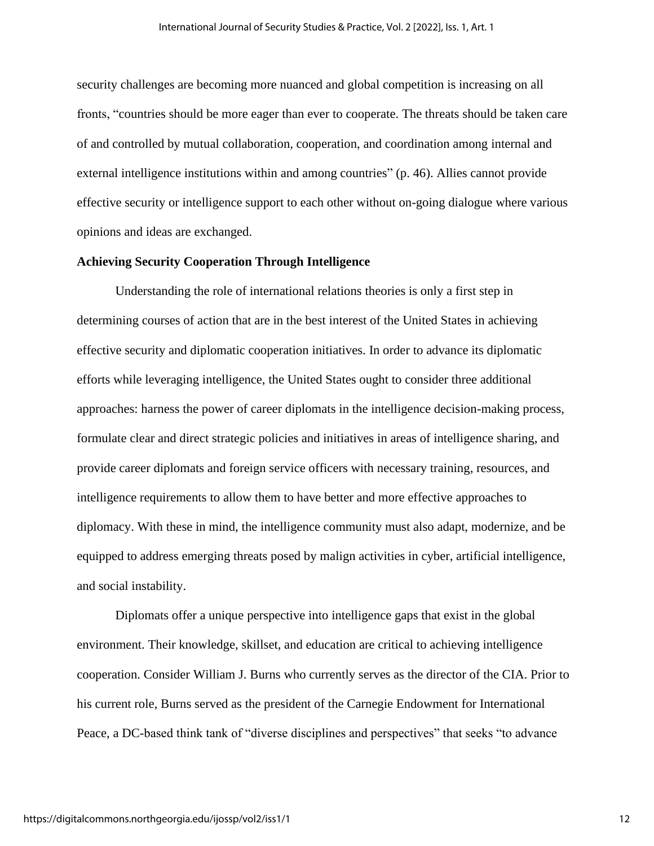security challenges are becoming more nuanced and global competition is increasing on all fronts, "countries should be more eager than ever to cooperate. The threats should be taken care of and controlled by mutual collaboration, cooperation, and coordination among internal and external intelligence institutions within and among countries" (p. 46). Allies cannot provide effective security or intelligence support to each other without on-going dialogue where various opinions and ideas are exchanged.

## **Achieving Security Cooperation Through Intelligence**

Understanding the role of international relations theories is only a first step in determining courses of action that are in the best interest of the United States in achieving effective security and diplomatic cooperation initiatives. In order to advance its diplomatic efforts while leveraging intelligence, the United States ought to consider three additional approaches: harness the power of career diplomats in the intelligence decision-making process, formulate clear and direct strategic policies and initiatives in areas of intelligence sharing, and provide career diplomats and foreign service officers with necessary training, resources, and intelligence requirements to allow them to have better and more effective approaches to diplomacy. With these in mind, the intelligence community must also adapt, modernize, and be equipped to address emerging threats posed by malign activities in cyber, artificial intelligence, and social instability.

Diplomats offer a unique perspective into intelligence gaps that exist in the global environment. Their knowledge, skillset, and education are critical to achieving intelligence cooperation. Consider William J. Burns who currently serves as the director of the CIA. Prior to his current role, Burns served as the president of the Carnegie Endowment for International Peace, a DC-based think tank of "diverse disciplines and perspectives" that seeks "to advance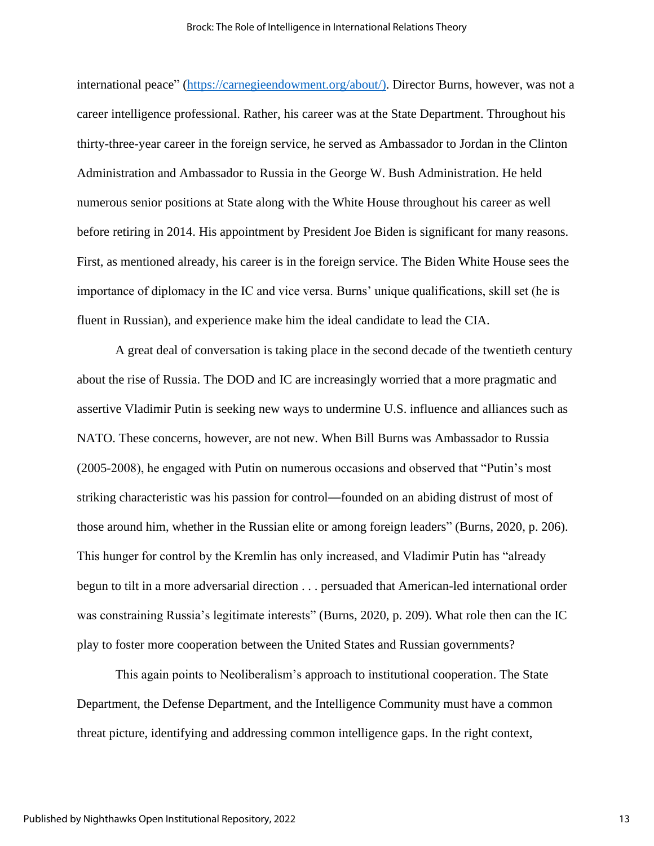international peace" [\(https://carnegieendowment.org/about/\)](https://carnegieendowment.org/about/). Director Burns, however, was not a career intelligence professional. Rather, his career was at the State Department. Throughout his thirty-three-year career in the foreign service, he served as Ambassador to Jordan in the Clinton Administration and Ambassador to Russia in the George W. Bush Administration. He held numerous senior positions at State along with the White House throughout his career as well before retiring in 2014. His appointment by President Joe Biden is significant for many reasons. First, as mentioned already, his career is in the foreign service. The Biden White House sees the importance of diplomacy in the IC and vice versa. Burns' unique qualifications, skill set (he is fluent in Russian), and experience make him the ideal candidate to lead the CIA.

A great deal of conversation is taking place in the second decade of the twentieth century about the rise of Russia. The DOD and IC are increasingly worried that a more pragmatic and assertive Vladimir Putin is seeking new ways to undermine U.S. influence and alliances such as NATO. These concerns, however, are not new. When Bill Burns was Ambassador to Russia (2005-2008), he engaged with Putin on numerous occasions and observed that "Putin's most striking characteristic was his passion for control—founded on an abiding distrust of most of those around him, whether in the Russian elite or among foreign leaders" (Burns, 2020, p. 206). This hunger for control by the Kremlin has only increased, and Vladimir Putin has "already begun to tilt in a more adversarial direction . . . persuaded that American-led international order was constraining Russia's legitimate interests" (Burns, 2020, p. 209). What role then can the IC play to foster more cooperation between the United States and Russian governments?

This again points to Neoliberalism's approach to institutional cooperation. The State Department, the Defense Department, and the Intelligence Community must have a common threat picture, identifying and addressing common intelligence gaps. In the right context,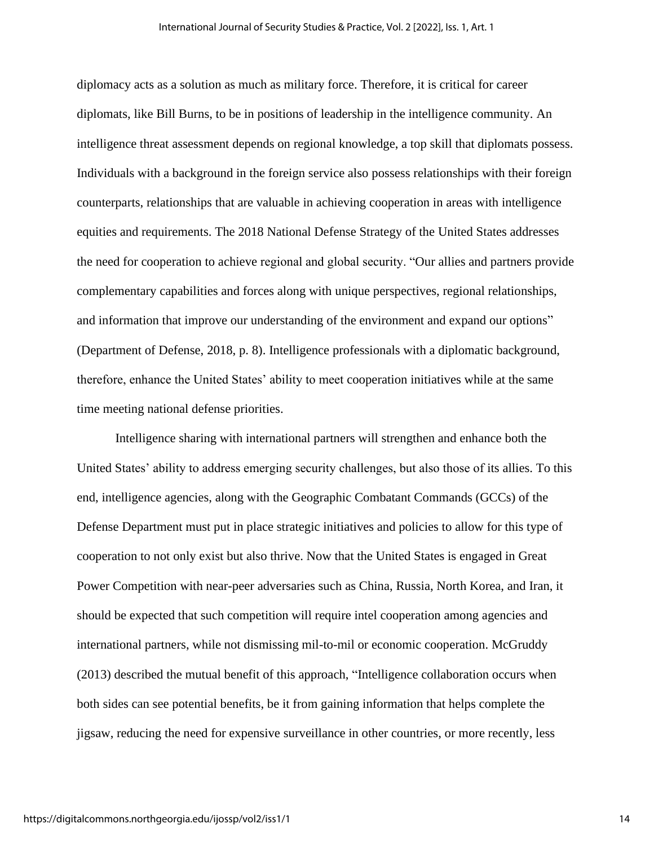diplomacy acts as a solution as much as military force. Therefore, it is critical for career diplomats, like Bill Burns, to be in positions of leadership in the intelligence community. An intelligence threat assessment depends on regional knowledge, a top skill that diplomats possess. Individuals with a background in the foreign service also possess relationships with their foreign counterparts, relationships that are valuable in achieving cooperation in areas with intelligence equities and requirements. The 2018 National Defense Strategy of the United States addresses the need for cooperation to achieve regional and global security. "Our allies and partners provide complementary capabilities and forces along with unique perspectives, regional relationships, and information that improve our understanding of the environment and expand our options" (Department of Defense, 2018, p. 8). Intelligence professionals with a diplomatic background, therefore, enhance the United States' ability to meet cooperation initiatives while at the same time meeting national defense priorities.

Intelligence sharing with international partners will strengthen and enhance both the United States' ability to address emerging security challenges, but also those of its allies. To this end, intelligence agencies, along with the Geographic Combatant Commands (GCCs) of the Defense Department must put in place strategic initiatives and policies to allow for this type of cooperation to not only exist but also thrive. Now that the United States is engaged in Great Power Competition with near-peer adversaries such as China, Russia, North Korea, and Iran, it should be expected that such competition will require intel cooperation among agencies and international partners, while not dismissing mil-to-mil or economic cooperation. McGruddy (2013) described the mutual benefit of this approach, "Intelligence collaboration occurs when both sides can see potential benefits, be it from gaining information that helps complete the jigsaw, reducing the need for expensive surveillance in other countries, or more recently, less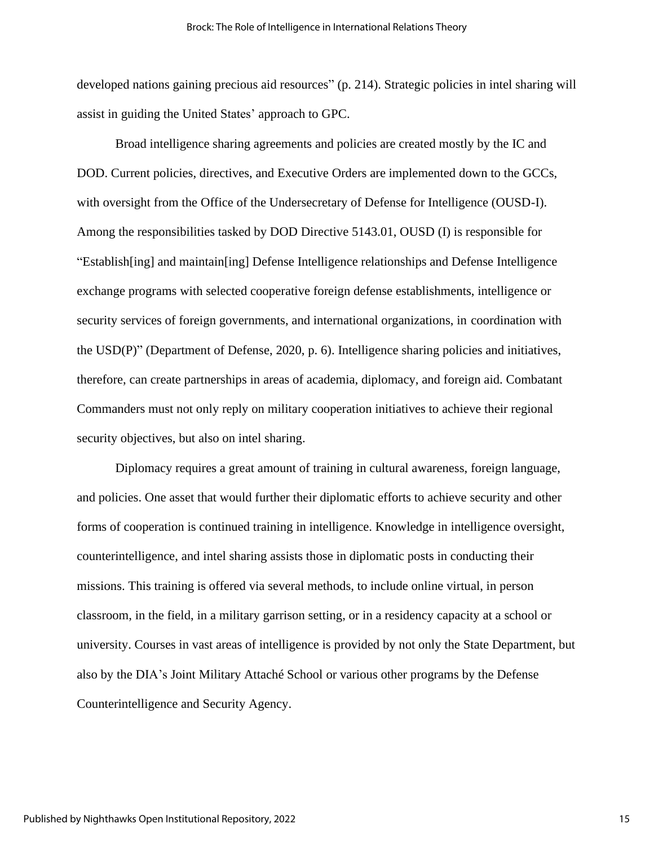developed nations gaining precious aid resources" (p. 214). Strategic policies in intel sharing will assist in guiding the United States' approach to GPC.

Broad intelligence sharing agreements and policies are created mostly by the IC and DOD. Current policies, directives, and Executive Orders are implemented down to the GCCs, with oversight from the Office of the Undersecretary of Defense for Intelligence (OUSD-I). Among the responsibilities tasked by DOD Directive 5143.01, OUSD (I) is responsible for "Establish[ing] and maintain[ing] Defense Intelligence relationships and Defense Intelligence exchange programs with selected cooperative foreign defense establishments, intelligence or security services of foreign governments, and international organizations, in coordination with the USD(P)" (Department of Defense, 2020, p. 6). Intelligence sharing policies and initiatives, therefore, can create partnerships in areas of academia, diplomacy, and foreign aid. Combatant Commanders must not only reply on military cooperation initiatives to achieve their regional security objectives, but also on intel sharing.

Diplomacy requires a great amount of training in cultural awareness, foreign language, and policies. One asset that would further their diplomatic efforts to achieve security and other forms of cooperation is continued training in intelligence. Knowledge in intelligence oversight, counterintelligence, and intel sharing assists those in diplomatic posts in conducting their missions. This training is offered via several methods, to include online virtual, in person classroom, in the field, in a military garrison setting, or in a residency capacity at a school or university. Courses in vast areas of intelligence is provided by not only the State Department, but also by the DIA's Joint Military Attaché School or various other programs by the Defense Counterintelligence and Security Agency.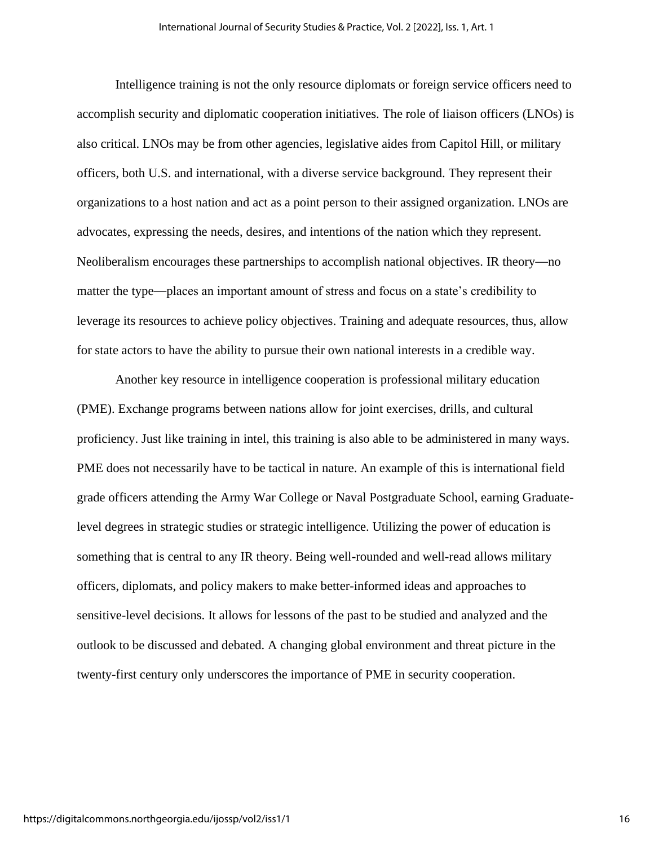Intelligence training is not the only resource diplomats or foreign service officers need to accomplish security and diplomatic cooperation initiatives. The role of liaison officers (LNOs) is also critical. LNOs may be from other agencies, legislative aides from Capitol Hill, or military officers, both U.S. and international, with a diverse service background. They represent their organizations to a host nation and act as a point person to their assigned organization. LNOs are advocates, expressing the needs, desires, and intentions of the nation which they represent. Neoliberalism encourages these partnerships to accomplish national objectives. IR theory—no matter the type—places an important amount of stress and focus on a state's credibility to leverage its resources to achieve policy objectives. Training and adequate resources, thus, allow for state actors to have the ability to pursue their own national interests in a credible way.

Another key resource in intelligence cooperation is professional military education (PME). Exchange programs between nations allow for joint exercises, drills, and cultural proficiency. Just like training in intel, this training is also able to be administered in many ways. PME does not necessarily have to be tactical in nature. An example of this is international field grade officers attending the Army War College or Naval Postgraduate School, earning Graduatelevel degrees in strategic studies or strategic intelligence. Utilizing the power of education is something that is central to any IR theory. Being well-rounded and well-read allows military officers, diplomats, and policy makers to make better-informed ideas and approaches to sensitive-level decisions. It allows for lessons of the past to be studied and analyzed and the outlook to be discussed and debated. A changing global environment and threat picture in the twenty-first century only underscores the importance of PME in security cooperation.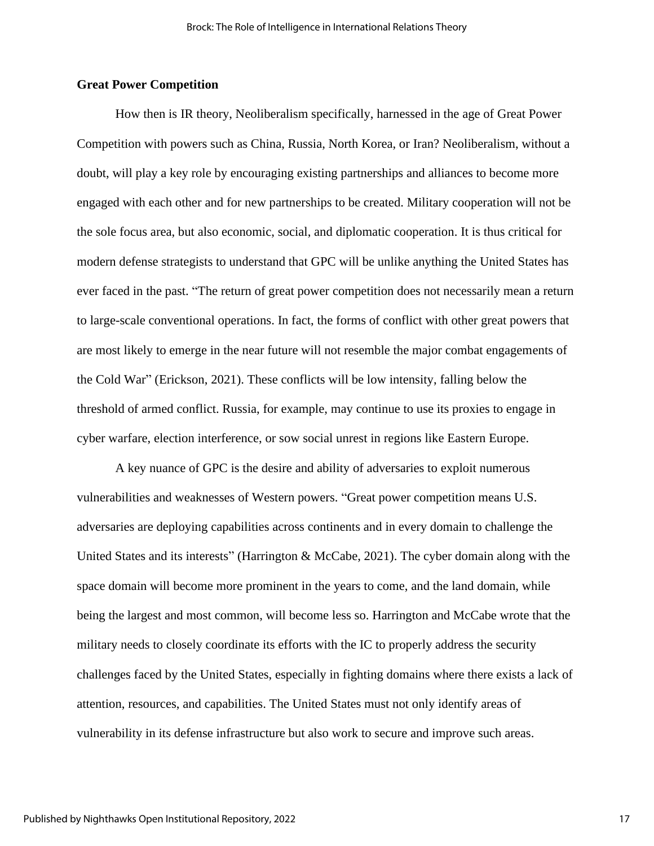## **Great Power Competition**

How then is IR theory, Neoliberalism specifically, harnessed in the age of Great Power Competition with powers such as China, Russia, North Korea, or Iran? Neoliberalism, without a doubt, will play a key role by encouraging existing partnerships and alliances to become more engaged with each other and for new partnerships to be created. Military cooperation will not be the sole focus area, but also economic, social, and diplomatic cooperation. It is thus critical for modern defense strategists to understand that GPC will be unlike anything the United States has ever faced in the past. "The return of great power competition does not necessarily mean a return to large-scale conventional operations. In fact, the forms of conflict with other great powers that are most likely to emerge in the near future will not resemble the major combat engagements of the Cold War" (Erickson, 2021). These conflicts will be low intensity, falling below the threshold of armed conflict. Russia, for example, may continue to use its proxies to engage in cyber warfare, election interference, or sow social unrest in regions like Eastern Europe.

A key nuance of GPC is the desire and ability of adversaries to exploit numerous vulnerabilities and weaknesses of Western powers. "Great power competition means U.S. adversaries are deploying capabilities across continents and in every domain to challenge the United States and its interests" (Harrington & McCabe, 2021). The cyber domain along with the space domain will become more prominent in the years to come, and the land domain, while being the largest and most common, will become less so. Harrington and McCabe wrote that the military needs to closely coordinate its efforts with the IC to properly address the security challenges faced by the United States, especially in fighting domains where there exists a lack of attention, resources, and capabilities. The United States must not only identify areas of vulnerability in its defense infrastructure but also work to secure and improve such areas.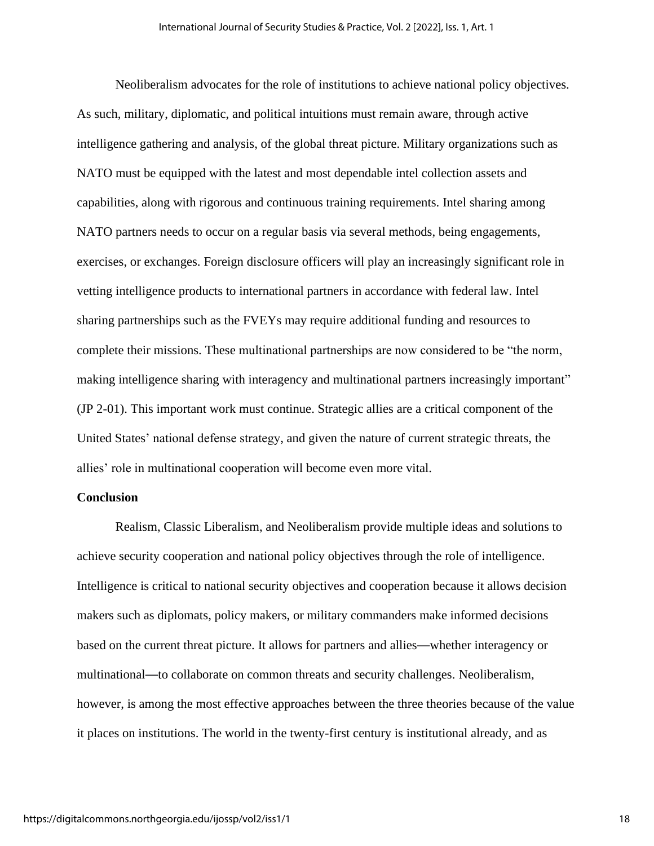Neoliberalism advocates for the role of institutions to achieve national policy objectives. As such, military, diplomatic, and political intuitions must remain aware, through active intelligence gathering and analysis, of the global threat picture. Military organizations such as NATO must be equipped with the latest and most dependable intel collection assets and capabilities, along with rigorous and continuous training requirements. Intel sharing among NATO partners needs to occur on a regular basis via several methods, being engagements, exercises, or exchanges. Foreign disclosure officers will play an increasingly significant role in vetting intelligence products to international partners in accordance with federal law. Intel sharing partnerships such as the FVEYs may require additional funding and resources to complete their missions. These multinational partnerships are now considered to be "the norm, making intelligence sharing with interagency and multinational partners increasingly important" (JP 2-01). This important work must continue. Strategic allies are a critical component of the United States' national defense strategy, and given the nature of current strategic threats, the allies' role in multinational cooperation will become even more vital.

## **Conclusion**

Realism, Classic Liberalism, and Neoliberalism provide multiple ideas and solutions to achieve security cooperation and national policy objectives through the role of intelligence. Intelligence is critical to national security objectives and cooperation because it allows decision makers such as diplomats, policy makers, or military commanders make informed decisions based on the current threat picture. It allows for partners and allies—whether interagency or multinational—to collaborate on common threats and security challenges. Neoliberalism, however, is among the most effective approaches between the three theories because of the value it places on institutions. The world in the twenty-first century is institutional already, and as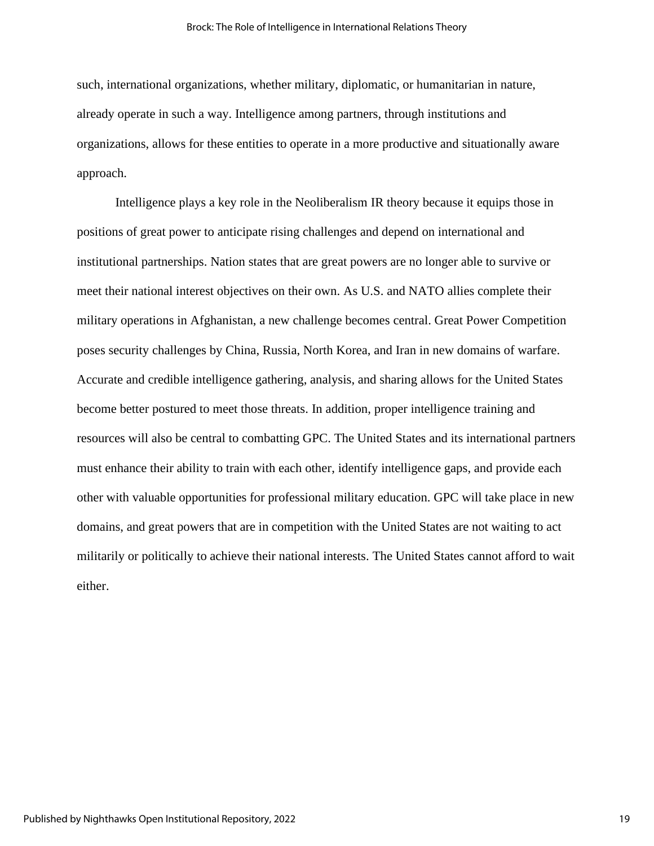such, international organizations, whether military, diplomatic, or humanitarian in nature, already operate in such a way. Intelligence among partners, through institutions and organizations, allows for these entities to operate in a more productive and situationally aware approach.

Intelligence plays a key role in the Neoliberalism IR theory because it equips those in positions of great power to anticipate rising challenges and depend on international and institutional partnerships. Nation states that are great powers are no longer able to survive or meet their national interest objectives on their own. As U.S. and NATO allies complete their military operations in Afghanistan, a new challenge becomes central. Great Power Competition poses security challenges by China, Russia, North Korea, and Iran in new domains of warfare. Accurate and credible intelligence gathering, analysis, and sharing allows for the United States become better postured to meet those threats. In addition, proper intelligence training and resources will also be central to combatting GPC. The United States and its international partners must enhance their ability to train with each other, identify intelligence gaps, and provide each other with valuable opportunities for professional military education. GPC will take place in new domains, and great powers that are in competition with the United States are not waiting to act militarily or politically to achieve their national interests. The United States cannot afford to wait either.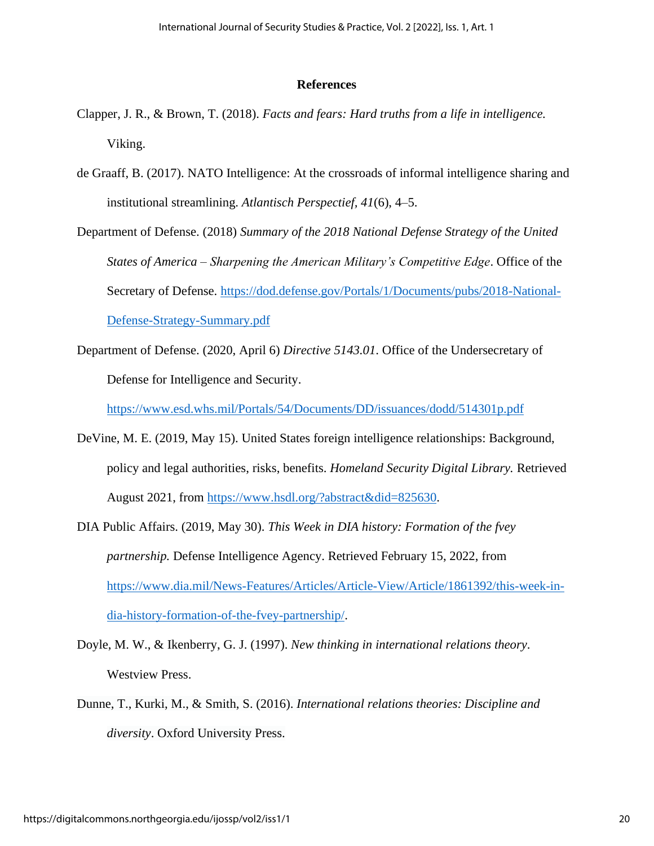### **References**

- Clapper, J. R., & Brown, T. (2018). *Facts and fears: Hard truths from a life in intelligence.* Viking.
- de Graaff, B. (2017). NATO Intelligence: At the crossroads of informal intelligence sharing and institutional streamlining. *Atlantisch Perspectief, 41*(6), 4–5.
- Department of Defense. (2018) *Summary of the 2018 National Defense Strategy of the United States of America – Sharpening the American Military's Competitive Edge*. Office of the Secretary of Defense. [https://dod.defense.gov/Portals/1/Documents/pubs/2018-National-](https://dod.defense.gov/Portals/1/Documents/pubs/2018-National-Defense-Strategy-Summary.pdf)[Defense-Strategy-Summary.pdf](https://dod.defense.gov/Portals/1/Documents/pubs/2018-National-Defense-Strategy-Summary.pdf)
- Department of Defense. (2020, April 6) *Directive 5143.01*. Office of the Undersecretary of Defense for Intelligence and Security.

<https://www.esd.whs.mil/Portals/54/Documents/DD/issuances/dodd/514301p.pdf>

- DeVine, M. E. (2019, May 15). United States foreign intelligence relationships: Background, policy and legal authorities, risks, benefits. *Homeland Security Digital Library.* Retrieved August 2021, from [https://www.hsdl.org/?abstract&did=825630.](https://www.hsdl.org/?abstract&did=825630)
- DIA Public Affairs. (2019, May 30). *This Week in DIA history: Formation of the fvey partnership.* Defense Intelligence Agency. Retrieved February 15, 2022, from [https://www.dia.mil/News-Features/Articles/Article-View/Article/1861392/this-week-in](https://www.dia.mil/News-Features/Articles/Article-View/Article/1861392/this-week-in-dia-history-formation-of-the-fvey-partnership/)[dia-history-formation-of-the-fvey-partnership/.](https://www.dia.mil/News-Features/Articles/Article-View/Article/1861392/this-week-in-dia-history-formation-of-the-fvey-partnership/)
- Doyle, M. W., & Ikenberry, G. J. (1997). *New thinking in international relations theory*. Westview Press.
- Dunne, T., Kurki, M., & Smith, S. (2016). *International relations theories: Discipline and diversity*. Oxford University Press.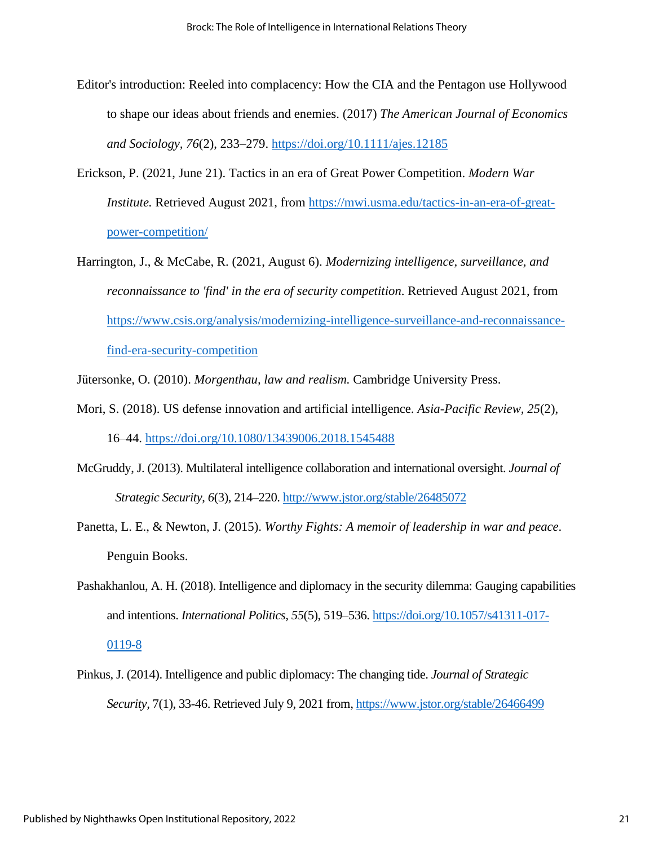- Editor's introduction: Reeled into complacency: How the CIA and the Pentagon use Hollywood to shape our ideas about friends and enemies. (2017) *The American Journal of Economics and Sociology, 76*(2), 233–279.<https://doi.org/10.1111/ajes.12185>
- Erickson, P. (2021, June 21). Tactics in an era of Great Power Competition. *Modern War Institute.* Retrieved August 2021, from [https://mwi.usma.edu/tactics-in-an-era-of-great](https://mwi.usma.edu/tactics-in-an-era-of-great-power-competition/)[power-competition/](https://mwi.usma.edu/tactics-in-an-era-of-great-power-competition/)
- Harrington, J., & McCabe, R. (2021, August 6). *Modernizing intelligence, surveillance, and reconnaissance to 'find' in the era of security competition*. Retrieved August 2021, from [https://www.csis.org/analysis/modernizing-intelligence-surveillance-and-reconnaissance](https://www.csis.org/analysis/modernizing-intelligence-surveillance-and-reconnaissance-find-era-security-competition)[find-era-security-competition](https://www.csis.org/analysis/modernizing-intelligence-surveillance-and-reconnaissance-find-era-security-competition)

Jütersonke, O. (2010). *Morgenthau, law and realism.* Cambridge University Press.

- Mori, S. (2018). US defense innovation and artificial intelligence. *Asia-Pacific Review, 25*(2), 16–44.<https://doi.org/10.1080/13439006.2018.1545488>
- McGruddy, J. (2013). Multilateral intelligence collaboration and international oversight. *Journal of Strategic Security*, *6*(3), 214–220.<http://www.jstor.org/stable/26485072>
- Panetta, L. E., & Newton, J. (2015). *Worthy Fights: A memoir of leadership in war and peace*. Penguin Books.
- Pashakhanlou, A. H. (2018). Intelligence and diplomacy in the security dilemma: Gauging capabilities and intentions. *International Politics, 55*(5), 519–536[. https://doi.org/10.1057/s41311-017-](https://doi.org/10.1057/s41311-017-0119-8) [0119-8](https://doi.org/10.1057/s41311-017-0119-8)
- Pinkus, J. (2014). Intelligence and public diplomacy: The changing tide. *Journal of Strategic Security,* 7(1), 33-46. Retrieved July 9, 2021 from, <https://www.jstor.org/stable/26466499>